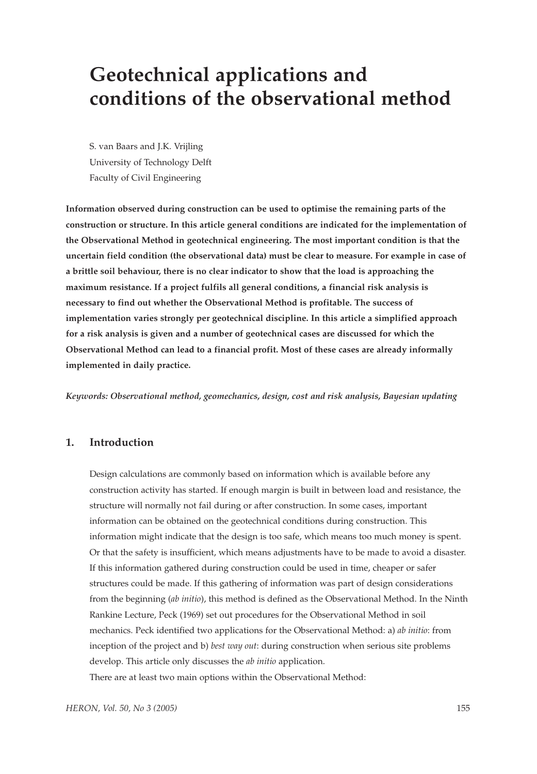# **Geotechnical applications and conditions of the observational method**

S. van Baars and J.K. Vrijling University of Technology Delft Faculty of Civil Engineering

**Information observed during construction can be used to optimise the remaining parts of the construction or structure. In this article general conditions are indicated for the implementation of the Observational Method in geotechnical engineering. The most important condition is that the uncertain field condition (the observational data) must be clear to measure. For example in case of a brittle soil behaviour, there is no clear indicator to show that the load is approaching the maximum resistance. If a project fulfils all general conditions, a financial risk analysis is necessary to find out whether the Observational Method is profitable. The success of implementation varies strongly per geotechnical discipline. In this article a simplified approach for a risk analysis is given and a number of geotechnical cases are discussed for which the Observational Method can lead to a financial profit. Most of these cases are already informally implemented in daily practice.**

*Keywords: Observational method, geomechanics, design, cost and risk analysis, Bayesian updating*

# **1. Introduction**

Design calculations are commonly based on information which is available before any construction activity has started. If enough margin is built in between load and resistance, the structure will normally not fail during or after construction. In some cases, important information can be obtained on the geotechnical conditions during construction. This information might indicate that the design is too safe, which means too much money is spent. Or that the safety is insufficient, which means adjustments have to be made to avoid a disaster. If this information gathered during construction could be used in time, cheaper or safer structures could be made. If this gathering of information was part of design considerations from the beginning (*ab initio*), this method is defined as the Observational Method. In the Ninth Rankine Lecture, Peck (1969) set out procedures for the Observational Method in soil mechanics. Peck identified two applications for the Observational Method: a) *ab initio*: from inception of the project and b) *best way out*: during construction when serious site problems develop. This article only discusses the *ab initio* application. There are at least two main options within the Observational Method: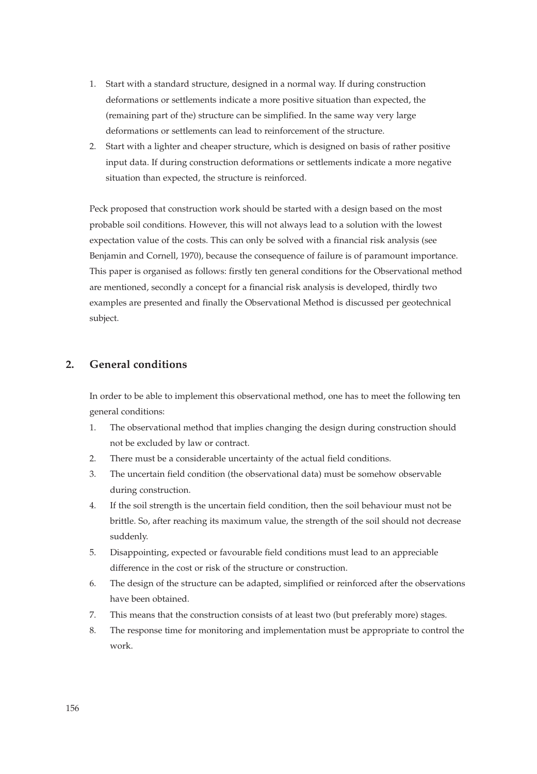- 1. Start with a standard structure, designed in a normal way. If during construction deformations or settlements indicate a more positive situation than expected, the (remaining part of the) structure can be simplified. In the same way very large deformations or settlements can lead to reinforcement of the structure.
- 2. Start with a lighter and cheaper structure, which is designed on basis of rather positive input data. If during construction deformations or settlements indicate a more negative situation than expected, the structure is reinforced.

Peck proposed that construction work should be started with a design based on the most probable soil conditions. However, this will not always lead to a solution with the lowest expectation value of the costs. This can only be solved with a financial risk analysis (see Benjamin and Cornell, 1970), because the consequence of failure is of paramount importance. This paper is organised as follows: firstly ten general conditions for the Observational method are mentioned, secondly a concept for a financial risk analysis is developed, thirdly two examples are presented and finally the Observational Method is discussed per geotechnical subject.

# **2. General conditions**

In order to be able to implement this observational method, one has to meet the following ten general conditions:

- 1. The observational method that implies changing the design during construction should not be excluded by law or contract.
- 2. There must be a considerable uncertainty of the actual field conditions.
- 3. The uncertain field condition (the observational data) must be somehow observable during construction.
- 4. If the soil strength is the uncertain field condition, then the soil behaviour must not be brittle. So, after reaching its maximum value, the strength of the soil should not decrease suddenly.
- 5. Disappointing, expected or favourable field conditions must lead to an appreciable difference in the cost or risk of the structure or construction.
- 6. The design of the structure can be adapted, simplified or reinforced after the observations have been obtained.
- 7. This means that the construction consists of at least two (but preferably more) stages.
- 8. The response time for monitoring and implementation must be appropriate to control the work.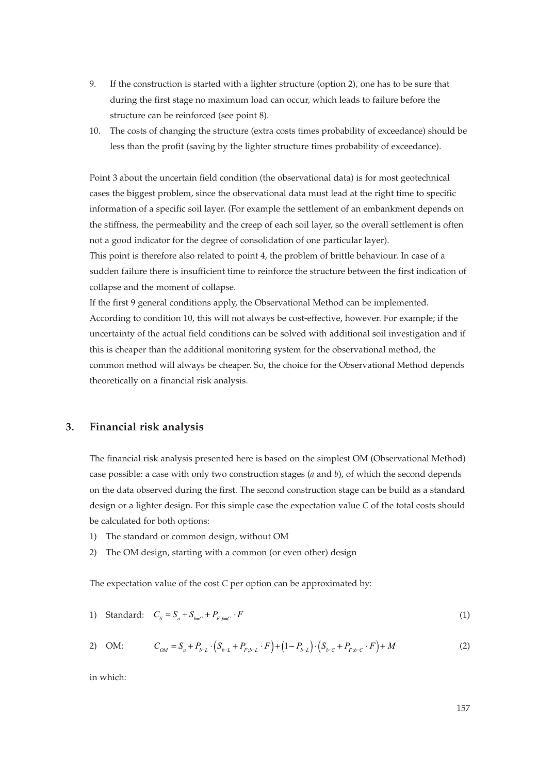- 9. If the construction is started with a lighter structure (option 2), one has to be sure that during the first stage no maximum load can occur, which leads to failure before the structure can be reinforced (see point 8).
- 10. The costs of changing the structure (extra costs times probability of exceedance) should be less than the profit (saving by the lighter structure times probability of exceedance).

Point 3 about the uncertain field condition (the observational data) is for most geotechnical cases the biggest problem, since the observational data must lead at the right time to specific information of a specific soil layer. (For example the settlement of an embankment depends on the stiffness, the permeability and the creep of each soil layer, so the overall settlement is often not a good indicator for the degree of consolidation of one particular layer).

This point is therefore also related to point 4, the problem of brittle behaviour. In case of a sudden failure there is insufficient time to reinforce the structure between the first indication of collapse and the moment of collapse.

If the first 9 general conditions apply, the Observational Method can be implemented. According to condition 10, this will not always be cost-effective, however. For example; if the uncertainty of the actual field conditions can be solved with additional soil investigation and if this is cheaper than the additional monitoring system for the observational method, the common method will always be cheaper. So, the choice for the Observational Method depends theoretically on a financial risk analysis.

# **3. Financial risk analysis**

The financial risk analysis presented here is based on the simplest OM (Observational Method) case possible: a case with only two construction stages (*a* and *b*), of which the second depends on the data observed during the first. The second construction stage can be build as a standard design or a lighter design. For this simple case the expectation value *C* of the total costs should be calculated for both options:

- 1) The standard or common design, without OM
- 2) The OM design, starting with a common (or even other) design

The expectation value of the cost *C* per option can be approximated by:

1) Standard: 
$$
C_s = S_a + S_{b=C} + P_{F,b=C} \cdot F
$$
 (1)

2) OM: 
$$
C_{OM} = S_a + P_{b-L} \cdot (S_{b-L} + P_{F,b-L} \cdot F) + (1 - P_{b-L}) \cdot (S_{b-C} + P_{F,b-C} \cdot F) + M
$$
 (2)

in which: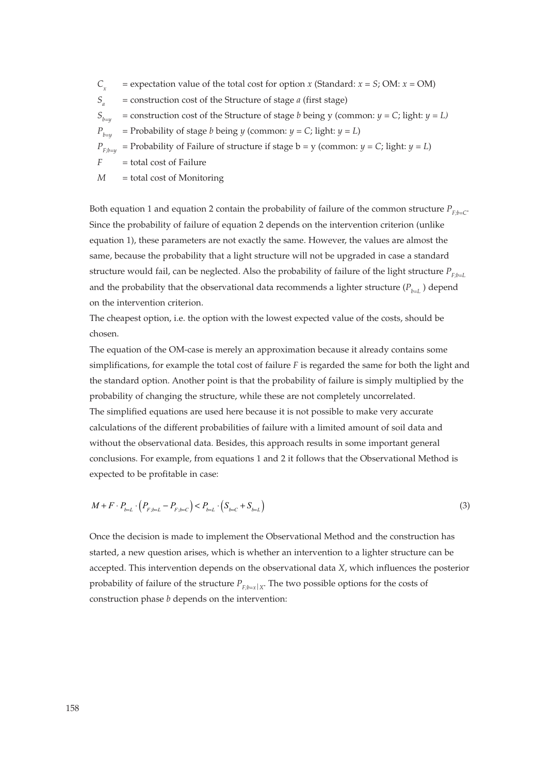$C_x$  = expectation value of the total cost for option *x* (Standard:  $x = S$ ; OM:  $x = OM$ )  $S_a$  = construction cost of the Structure of stage *a* (first stage)  $S_{i,j}$  = construction cost of the Structure of stage *b* being y (common:  $y = C$ ; light:  $y = L$ )  $P_{b=u}$  = Probability of stage *b* being *y* (common: *y* = *C*; light: *y* = *L*)  $P_{F;h=u}$  = Probability of Failure of structure if stage b = y (common:  $y = C$ ; light:  $y = L$ ) *F* = total cost of Failure *M* = total cost of Monitoring

Both equation 1 and equation 2 contain the probability of failure of the common structure  $P_{F,b-C}$ . Since the probability of failure of equation 2 depends on the intervention criterion (unlike equation 1), these parameters are not exactly the same. However, the values are almost the same, because the probability that a light structure will not be upgraded in case a standard structure would fail, can be neglected. Also the probability of failure of the light structure  $P_{F, h=1}$ and the probability that the observational data recommends a lighter structure  $(P_{b=L} )$  depend on the intervention criterion.

The cheapest option, i.e. the option with the lowest expected value of the costs, should be chosen.

The equation of the OM-case is merely an approximation because it already contains some simplifications, for example the total cost of failure *F* is regarded the same for both the light and the standard option. Another point is that the probability of failure is simply multiplied by the probability of changing the structure, while these are not completely uncorrelated. The simplified equations are used here because it is not possible to make very accurate calculations of the different probabilities of failure with a limited amount of soil data and without the observational data. Besides, this approach results in some important general conclusions. For example, from equations 1 and 2 it follows that the Observational Method is expected to be profitable in case:

$$
M + F \cdot P_{b=L} \cdot \left( P_{F; b=L} - P_{F; b=C} \right) < P_{b=L} \cdot \left( S_{b=C} + S_{b=L} \right) \tag{3}
$$

Once the decision is made to implement the Observational Method and the construction has started, a new question arises, which is whether an intervention to a lighter structure can be accepted. This intervention depends on the observational data *X*, which influences the posterior probability of failure of the structure  $P_{F:b=x|X}$ . The two possible options for the costs of construction phase *b* depends on the intervention: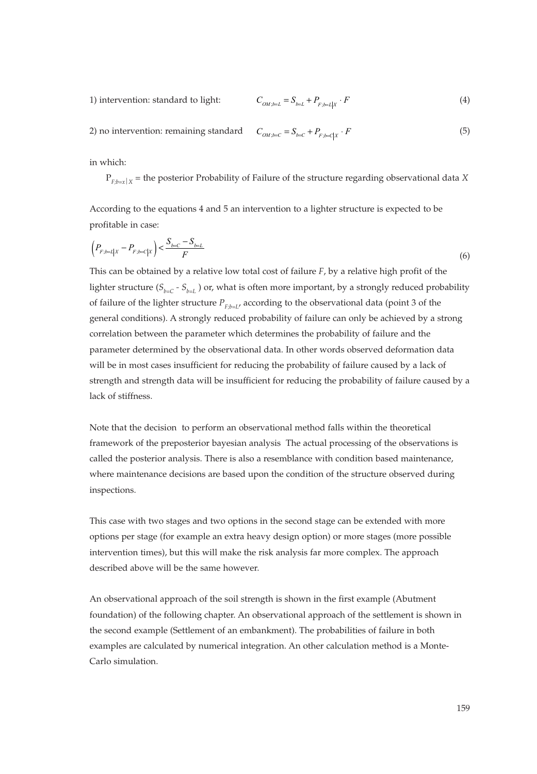1) intervention: standard to light: 
$$
C_{OM; b=L} = S_{b=L} + P_{F; b=L} \cdot F
$$
 (4)

2) no intervention: remaining standard  $C_{\alpha\mu\mu\sigma} = S_{\mu\sigma} + P_{\mu\mu\sigma} + F$  (5)  $C_{OM; b=C} = S_{b=C} + P_{F: b=C|X} \cdot F$ 

in which:

P*F;b=x*⏐*<sup>X</sup>* = the posterior Probability of Failure of the structure regarding observational data *X*

According to the equations 4 and 5 an intervention to a lighter structure is expected to be profitable in case:

$$
\left(P_{F,b=L|X} - P_{F,b=C|X}\right) < \frac{S_{b=C} - S_{b=L}}{F} \tag{6}
$$

This can be obtained by a relative low total cost of failure *F*, by a relative high profit of the lighter structure  $(S_{h=C} - S_{h=1})$  or, what is often more important, by a strongly reduced probability of failure of the lighter structure  $P_{F,h=I}$ , according to the observational data (point 3 of the general conditions). A strongly reduced probability of failure can only be achieved by a strong correlation between the parameter which determines the probability of failure and the parameter determined by the observational data. In other words observed deformation data will be in most cases insufficient for reducing the probability of failure caused by a lack of strength and strength data will be insufficient for reducing the probability of failure caused by a lack of stiffness.

Note that the decision to perform an observational method falls within the theoretical framework of the preposterior bayesian analysis The actual processing of the observations is called the posterior analysis. There is also a resemblance with condition based maintenance, where maintenance decisions are based upon the condition of the structure observed during inspections.

This case with two stages and two options in the second stage can be extended with more options per stage (for example an extra heavy design option) or more stages (more possible intervention times), but this will make the risk analysis far more complex. The approach described above will be the same however.

An observational approach of the soil strength is shown in the first example (Abutment foundation) of the following chapter. An observational approach of the settlement is shown in the second example (Settlement of an embankment). The probabilities of failure in both examples are calculated by numerical integration. An other calculation method is a Monte-Carlo simulation.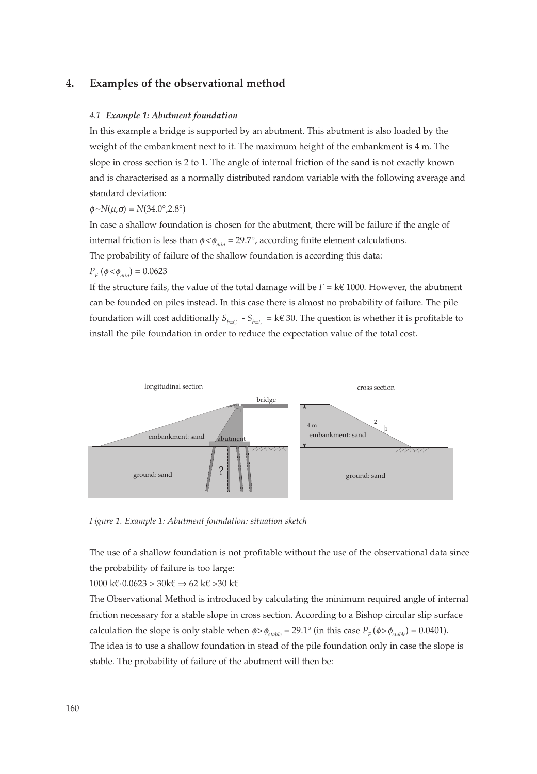# **4. Examples of the observational method**

#### *4.1 Example 1: Abutment foundation*

In this example a bridge is supported by an abutment. This abutment is also loaded by the weight of the embankment next to it. The maximum height of the embankment is 4 m. The slope in cross section is 2 to 1. The angle of internal friction of the sand is not exactly known and is characterised as a normally distributed random variable with the following average and standard deviation:

#### $\phi \sim N(\mu, \sigma) = N(34.0^{\circ}, 2.8^{\circ})$

In case a shallow foundation is chosen for the abutment, there will be failure if the angle of internal friction is less than  $\phi < \phi_{min} = 29.7^{\circ}$ , according finite element calculations. The probability of failure of the shallow foundation is according this data:

$$
P_F(\phi \langle \phi_{min} \rangle = 0.0623)
$$

If the structure fails, the value of the total damage will be  $F = k \epsilon$  1000. However, the abutment can be founded on piles instead. In this case there is almost no probability of failure. The pile foundation will cost additionally  $S_{b=C}$  -  $S_{b=L}$  = k€ 30. The question is whether it is profitable to install the pile foundation in order to reduce the expectation value of the total cost.



*Figure 1. Example 1: Abutment foundation: situation sketch*

The use of a shallow foundation is not profitable without the use of the observational data since the probability of failure is too large:

1000 k€·0.0623 > 30k€ ⇒ 62 k€ >30 k€

The Observational Method is introduced by calculating the minimum required angle of internal friction necessary for a stable slope in cross section. According to a Bishop circular slip surface calculation the slope is only stable when  $\phi > \phi_{stable} = 29.1^{\circ}$  (in this case  $P_F(\phi > \phi_{stable}) = 0.0401$ ). The idea is to use a shallow foundation in stead of the pile foundation only in case the slope is stable. The probability of failure of the abutment will then be: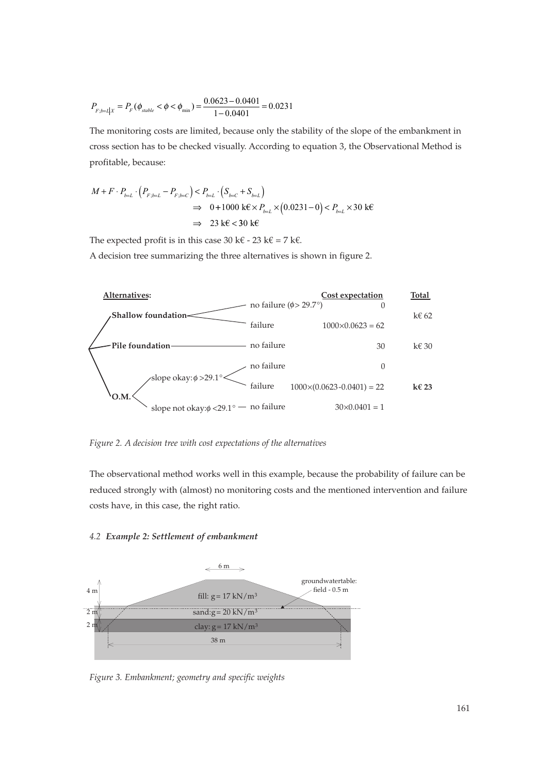$$
P_{F: b = L \mid X} = P_F(\phi_{stable} < \phi < \phi_{\min}) = \frac{0.0623 - 0.0401}{1 - 0.0401} = 0.0231
$$

The monitoring costs are limited, because only the stability of the slope of the embankment in cross section has to be checked visually. According to equation 3, the Observational Method is profitable, because:

$$
M + F \cdot P_{b-L} \cdot (P_{F,b-L} - P_{F,b-C}) < P_{b-L} \cdot (S_{b-C} + S_{b-L})
$$
\n
$$
\Rightarrow 0 + 1000 \text{ keV } P_{b-L} \times (0.0231 - 0) < P_{b-L} \times 30 \text{ keV}
$$
\n
$$
\Rightarrow 23 \text{ keV } 30 \text{ keV}
$$

The expected profit is in this case 30 k€ - 23 k€ = 7 k€.

A decision tree summarizing the three alternatives is shown in figure 2.



*Figure 2. A decision tree with cost expectations of the alternatives*

The observational method works well in this example, because the probability of failure can be reduced strongly with (almost) no monitoring costs and the mentioned intervention and failure costs have, in this case, the right ratio.

#### *4.2 Example 2: Settlement of embankment*



*Figure 3. Embankment; geometry and specific weights*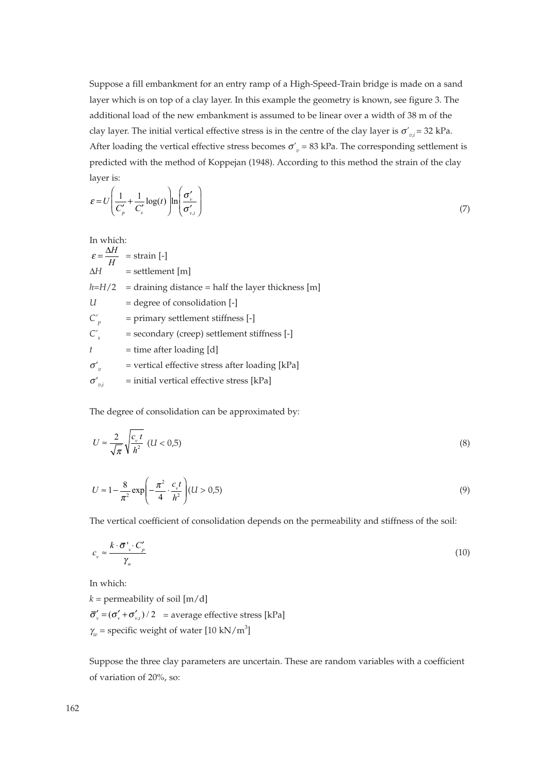Suppose a fill embankment for an entry ramp of a High-Speed-Train bridge is made on a sand layer which is on top of a clay layer. In this example the geometry is known, see figure 3. The additional load of the new embankment is assumed to be linear over a width of 38 m of the clay layer. The initial vertical effective stress is in the centre of the clay layer is  $\sigma'_{v,i}$  = 32 kPa. After loading the vertical effective stress becomes  $\sigma'_{v}$  = 83 kPa. The corresponding settlement is predicted with the method of Koppejan (1948). According to this method the strain of the clay layer is:

$$
\varepsilon = U \left( \frac{1}{C'_{p}} + \frac{1}{C'_{s}} \log(t) \right) \ln \left( \frac{\sigma'_{v}}{\sigma'_{v,i}} \right)
$$
\n
$$
\tag{7}
$$

In which:

 $\varepsilon = \frac{\Delta H}{H}$  = strain [-]  $\Delta H$  = settlement [m]  $h=H/2$  = draining distance = half the layer thickness [m] *U* = degree of consolidation [-] *C'p* = primary settlement stiffness [-] *C's* = secondary (creep) settlement stiffness [-]  $t =$  time after loading [d]  $\sigma'$ <sub>π</sub> = vertical effective stress after loading [kPa]  $\sigma'_{\eta i}$  $=$  initial vertical effective stress [kPa]

The degree of consolidation can be approximated by:

$$
U \approx \frac{2}{\sqrt{\pi}} \sqrt{\frac{c_y t}{h^2}} \quad (U < 0.5) \tag{8}
$$

$$
U \approx 1 - \frac{8}{\pi^2} \exp\left(-\frac{\pi^2}{4} \cdot \frac{c_v t}{h^2}\right) (U > 0.5)
$$
\n(9)

The vertical coefficient of consolidation depends on the permeability and stiffness of the soil:

$$
c_v \approx \frac{k \cdot \bar{\sigma}^{\prime} \cdot C_p^{\prime}}{\gamma_w} \tag{10}
$$

In which:

 $k =$  permeability of soil  $[m/d]$  $\bar{\sigma}'_v = (\sigma'_v + \sigma'_{v,i})/2$  = average effective stress [kPa]  $\gamma_w$  = specific weight of water [10 kN/m<sup>3</sup>]

Suppose the three clay parameters are uncertain. These are random variables with a coefficient of variation of 20%, so: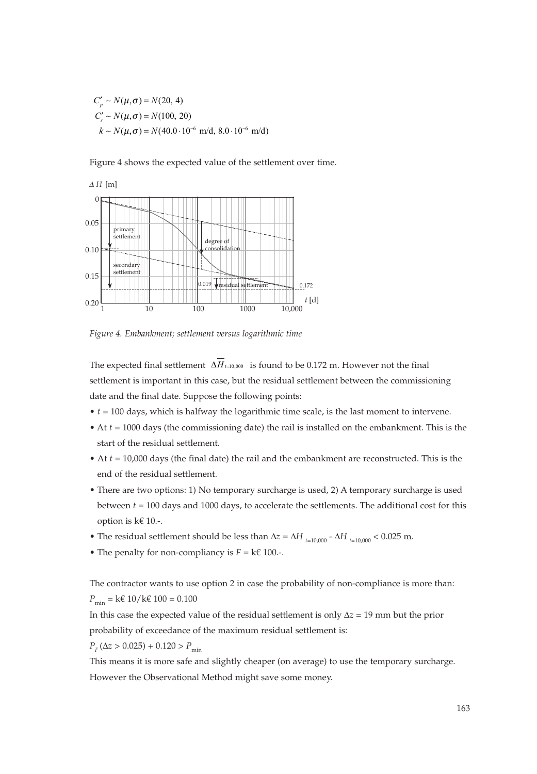$C'_p \sim N(\mu, \sigma) = N(20, 4)$  $C'_{s} \sim N(\mu, \sigma) = N(100, 20)$  $k \sim N(\mu, \sigma) = N(40.0 \cdot 10^{-6} \text{ m/d}, 8.0 \cdot 10^{-6} \text{ m/d})$ 

Figure 4 shows the expected value of the settlement over time.



*Figure 4. Embankment; settlement versus logarithmic time*

The expected final settlement  $\Delta H$ <sub> $t=10,000$ </sub> is found to be 0.172 m. However not the final settlement is important in this case, but the residual settlement between the commissioning date and the final date. Suppose the following points:

- *t* = 100 days, which is halfway the logarithmic time scale, is the last moment to intervene.
- At *t* = 1000 days (the commissioning date) the rail is installed on the embankment. This is the start of the residual settlement.
- At *t* = 10,000 days (the final date) the rail and the embankment are reconstructed. This is the end of the residual settlement.
- There are two options: 1) No temporary surcharge is used, 2) A temporary surcharge is used between *t* = 100 days and 1000 days, to accelerate the settlements. The additional cost for this option is k€ 10.-.
- The residual settlement should be less than  $\Delta z = \Delta H$   $_{t=10,000}$   $\Delta H$   $_{t=10,000}$  < 0.025 m.
- The penalty for non-compliancy is  $F = k \in 100$ .

The contractor wants to use option 2 in case the probability of non-compliance is more than:  $P_{\text{min}} = k \in 10 / k \in 100 = 0.100$ 

In this case the expected value of the residual settlement is only Δ*z =* 19 mm but the prior probability of exceedance of the maximum residual settlement is:

 $P_F(\Delta z > 0.025) + 0.120 > P_{\text{min}}$ 

This means it is more safe and slightly cheaper (on average) to use the temporary surcharge. However the Observational Method might save some money.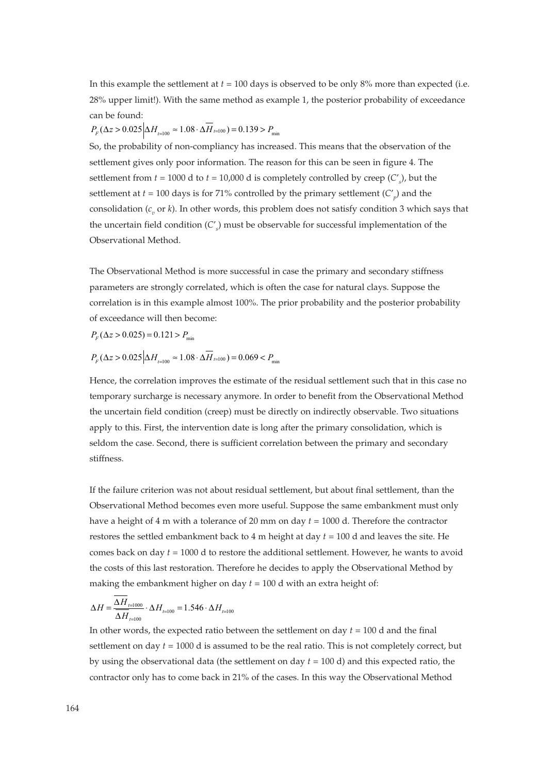In this example the settlement at  $t = 100$  days is observed to be only  $8\%$  more than expected (i.e. 28% upper limit!). With the same method as example 1, the posterior probability of exceedance can be found:

 $P_{F} (\Delta z > 0.025 \Big| \Delta H_{_{t=100}} \approx 1.08 \cdot \Delta \overline{H}_{t=100}) = 0.139 > P_{\min}$ 

So, the probability of non-compliancy has increased. This means that the observation of the settlement gives only poor information. The reason for this can be seen in figure 4. The settlement from *t* = 1000 d to *t* = 10,000 d is completely controlled by creep (*C*' *s* ), but the settlement at *t* = 100 days is for 71% controlled by the primary settlement (*C*' *p* ) and the consolidation (*c<sub>n</sub>* or *k*). In other words, this problem does not satisfy condition 3 which says that the uncertain field condition (*C*' *s* ) must be observable for successful implementation of the Observational Method.

The Observational Method is more successful in case the primary and secondary stiffness parameters are strongly correlated, which is often the case for natural clays. Suppose the correlation is in this example almost 100%. The prior probability and the posterior probability of exceedance will then become:

 $P_{F}(\Delta z > 0.025) = 0.121 > P_{\min}$ 

$$
P_F(\Delta z > 0.025 \Delta H_{t=100} \approx 1.08 \cdot \Delta H_{t=100}) = 0.069 < P_{\text{min}}
$$

Hence, the correlation improves the estimate of the residual settlement such that in this case no temporary surcharge is necessary anymore. In order to benefit from the Observational Method the uncertain field condition (creep) must be directly on indirectly observable. Two situations apply to this. First, the intervention date is long after the primary consolidation, which is seldom the case. Second, there is sufficient correlation between the primary and secondary stiffness.

If the failure criterion was not about residual settlement, but about final settlement, than the Observational Method becomes even more useful. Suppose the same embankment must only have a height of 4 m with a tolerance of 20 mm on day *t* = 1000 d. Therefore the contractor restores the settled embankment back to 4 m height at day *t* = 100 d and leaves the site. He comes back on day *t* = 1000 d to restore the additional settlement. However, he wants to avoid the costs of this last restoration. Therefore he decides to apply the Observational Method by making the embankment higher on day  $t = 100$  d with an extra height of:

$$
\Delta H = \frac{\Delta H_{_{I=1000}}}{\Delta H_{_{I=100}}} \cdot \Delta H_{_{I=100}} = 1.546 \cdot \Delta H_{_{I=100}}
$$

In other words, the expected ratio between the settlement on day *t* = 100 d and the final settlement on day *t* = 1000 d is assumed to be the real ratio. This is not completely correct, but by using the observational data (the settlement on day *t* = 100 d) and this expected ratio, the contractor only has to come back in 21% of the cases. In this way the Observational Method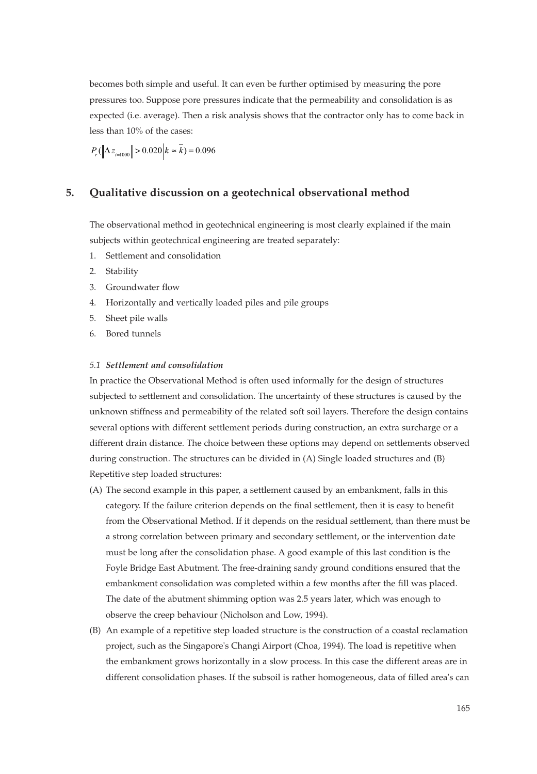becomes both simple and useful. It can even be further optimised by measuring the pore pressures too. Suppose pore pressures indicate that the permeability and consolidation is as expected (i.e. average). Then a risk analysis shows that the contractor only has to come back in less than 10% of the cases:

 $P_{r}$ ( $\left\| \Delta z_{_{t=1000}} \right\| > 0.020 \left| k \approx \overline{k} \right) = 0.096$ 

# **5. Qualitative discussion on a geotechnical observational method**

The observational method in geotechnical engineering is most clearly explained if the main subjects within geotechnical engineering are treated separately:

- 1. Settlement and consolidation
- 2. Stability
- 3. Groundwater flow
- 4. Horizontally and vertically loaded piles and pile groups
- 5. Sheet pile walls
- 6. Bored tunnels

## *5.1 Settlement and consolidation*

In practice the Observational Method is often used informally for the design of structures subjected to settlement and consolidation. The uncertainty of these structures is caused by the unknown stiffness and permeability of the related soft soil layers. Therefore the design contains several options with different settlement periods during construction, an extra surcharge or a different drain distance. The choice between these options may depend on settlements observed during construction. The structures can be divided in (A) Single loaded structures and (B) Repetitive step loaded structures:

- (A) The second example in this paper, a settlement caused by an embankment, falls in this category. If the failure criterion depends on the final settlement, then it is easy to benefit from the Observational Method. If it depends on the residual settlement, than there must be a strong correlation between primary and secondary settlement, or the intervention date must be long after the consolidation phase. A good example of this last condition is the Foyle Bridge East Abutment. The free-draining sandy ground conditions ensured that the embankment consolidation was completed within a few months after the fill was placed. The date of the abutment shimming option was 2.5 years later, which was enough to observe the creep behaviour (Nicholson and Low, 1994).
- (B) An example of a repetitive step loaded structure is the construction of a coastal reclamation project, such as the Singapore's Changi Airport (Choa, 1994). The load is repetitive when the embankment grows horizontally in a slow process. In this case the different areas are in different consolidation phases. If the subsoil is rather homogeneous, data of filled area's can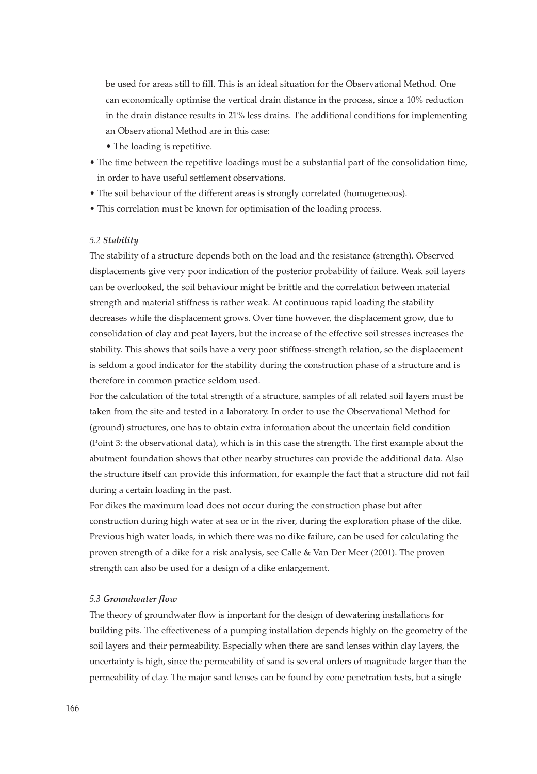be used for areas still to fill. This is an ideal situation for the Observational Method. One can economically optimise the vertical drain distance in the process, since a 10% reduction in the drain distance results in 21% less drains. The additional conditions for implementing an Observational Method are in this case:

- The loading is repetitive.
- The time between the repetitive loadings must be a substantial part of the consolidation time, in order to have useful settlement observations.
- The soil behaviour of the different areas is strongly correlated (homogeneous).
- This correlation must be known for optimisation of the loading process.

## *5.2 Stability*

The stability of a structure depends both on the load and the resistance (strength). Observed displacements give very poor indication of the posterior probability of failure. Weak soil layers can be overlooked, the soil behaviour might be brittle and the correlation between material strength and material stiffness is rather weak. At continuous rapid loading the stability decreases while the displacement grows. Over time however, the displacement grow, due to consolidation of clay and peat layers, but the increase of the effective soil stresses increases the stability. This shows that soils have a very poor stiffness-strength relation, so the displacement is seldom a good indicator for the stability during the construction phase of a structure and is therefore in common practice seldom used.

For the calculation of the total strength of a structure, samples of all related soil layers must be taken from the site and tested in a laboratory. In order to use the Observational Method for (ground) structures, one has to obtain extra information about the uncertain field condition (Point 3: the observational data), which is in this case the strength. The first example about the abutment foundation shows that other nearby structures can provide the additional data. Also the structure itself can provide this information, for example the fact that a structure did not fail during a certain loading in the past.

For dikes the maximum load does not occur during the construction phase but after construction during high water at sea or in the river, during the exploration phase of the dike. Previous high water loads, in which there was no dike failure, can be used for calculating the proven strength of a dike for a risk analysis, see Calle & Van Der Meer (2001). The proven strength can also be used for a design of a dike enlargement.

## *5.3 Groundwater flow*

The theory of groundwater flow is important for the design of dewatering installations for building pits. The effectiveness of a pumping installation depends highly on the geometry of the soil layers and their permeability. Especially when there are sand lenses within clay layers, the uncertainty is high, since the permeability of sand is several orders of magnitude larger than the permeability of clay. The major sand lenses can be found by cone penetration tests, but a single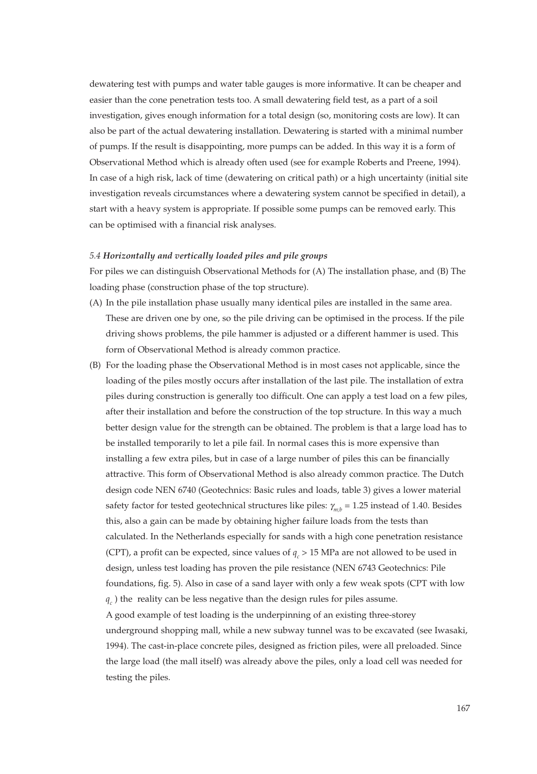dewatering test with pumps and water table gauges is more informative. It can be cheaper and easier than the cone penetration tests too. A small dewatering field test, as a part of a soil investigation, gives enough information for a total design (so, monitoring costs are low). It can also be part of the actual dewatering installation. Dewatering is started with a minimal number of pumps. If the result is disappointing, more pumps can be added. In this way it is a form of Observational Method which is already often used (see for example Roberts and Preene, 1994). In case of a high risk, lack of time (dewatering on critical path) or a high uncertainty (initial site investigation reveals circumstances where a dewatering system cannot be specified in detail), a start with a heavy system is appropriate. If possible some pumps can be removed early. This can be optimised with a financial risk analyses.

## *5.4 Horizontally and vertically loaded piles and pile groups*

For piles we can distinguish Observational Methods for (A) The installation phase, and (B) The loading phase (construction phase of the top structure).

- (A) In the pile installation phase usually many identical piles are installed in the same area. These are driven one by one, so the pile driving can be optimised in the process. If the pile driving shows problems, the pile hammer is adjusted or a different hammer is used. This form of Observational Method is already common practice.
- (B) For the loading phase the Observational Method is in most cases not applicable, since the loading of the piles mostly occurs after installation of the last pile. The installation of extra piles during construction is generally too difficult. One can apply a test load on a few piles, after their installation and before the construction of the top structure. In this way a much better design value for the strength can be obtained. The problem is that a large load has to be installed temporarily to let a pile fail. In normal cases this is more expensive than installing a few extra piles, but in case of a large number of piles this can be financially attractive. This form of Observational Method is also already common practice. The Dutch design code NEN 6740 (Geotechnics: Basic rules and loads, table 3) gives a lower material safety factor for tested geotechnical structures like piles:  $\gamma_{m,b} = 1.25$  instead of 1.40. Besides this, also a gain can be made by obtaining higher failure loads from the tests than calculated. In the Netherlands especially for sands with a high cone penetration resistance (CPT), a profit can be expected, since values of  $q_c > 15$  MPa are not allowed to be used in design, unless test loading has proven the pile resistance (NEN 6743 Geotechnics: Pile foundations, fig. 5). Also in case of a sand layer with only a few weak spots (CPT with low  $q_c$ ) the reality can be less negative than the design rules for piles assume. A good example of test loading is the underpinning of an existing three-storey

underground shopping mall, while a new subway tunnel was to be excavated (see Iwasaki, 1994). The cast-in-place concrete piles, designed as friction piles, were all preloaded. Since the large load (the mall itself) was already above the piles, only a load cell was needed for testing the piles.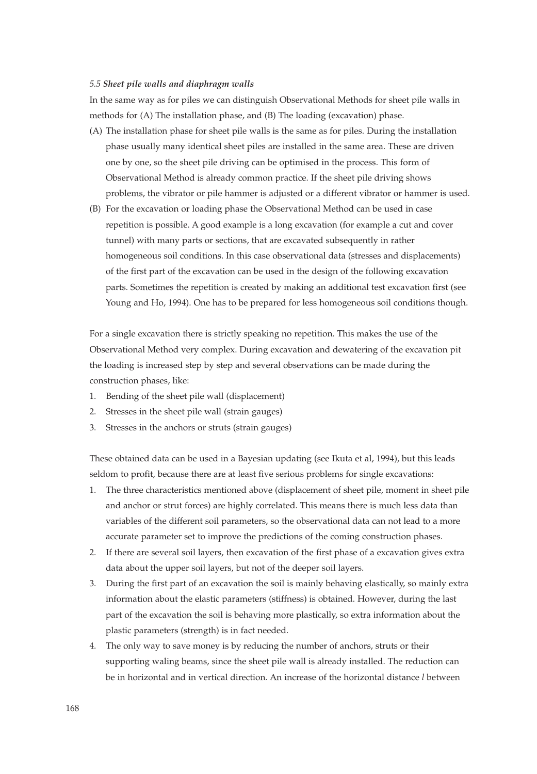## *5.5 Sheet pile walls and diaphragm walls*

In the same way as for piles we can distinguish Observational Methods for sheet pile walls in methods for (A) The installation phase, and (B) The loading (excavation) phase.

- (A) The installation phase for sheet pile walls is the same as for piles. During the installation phase usually many identical sheet piles are installed in the same area. These are driven one by one, so the sheet pile driving can be optimised in the process. This form of Observational Method is already common practice. If the sheet pile driving shows problems, the vibrator or pile hammer is adjusted or a different vibrator or hammer is used.
- (B) For the excavation or loading phase the Observational Method can be used in case repetition is possible. A good example is a long excavation (for example a cut and cover tunnel) with many parts or sections, that are excavated subsequently in rather homogeneous soil conditions. In this case observational data (stresses and displacements) of the first part of the excavation can be used in the design of the following excavation parts. Sometimes the repetition is created by making an additional test excavation first (see Young and Ho, 1994). One has to be prepared for less homogeneous soil conditions though.

For a single excavation there is strictly speaking no repetition. This makes the use of the Observational Method very complex. During excavation and dewatering of the excavation pit the loading is increased step by step and several observations can be made during the construction phases, like:

- 1. Bending of the sheet pile wall (displacement)
- 2. Stresses in the sheet pile wall (strain gauges)
- 3. Stresses in the anchors or struts (strain gauges)

These obtained data can be used in a Bayesian updating (see Ikuta et al, 1994), but this leads seldom to profit, because there are at least five serious problems for single excavations:

- 1. The three characteristics mentioned above (displacement of sheet pile, moment in sheet pile and anchor or strut forces) are highly correlated. This means there is much less data than variables of the different soil parameters, so the observational data can not lead to a more accurate parameter set to improve the predictions of the coming construction phases.
- 2. If there are several soil layers, then excavation of the first phase of a excavation gives extra data about the upper soil layers, but not of the deeper soil layers.
- 3. During the first part of an excavation the soil is mainly behaving elastically, so mainly extra information about the elastic parameters (stiffness) is obtained. However, during the last part of the excavation the soil is behaving more plastically, so extra information about the plastic parameters (strength) is in fact needed.
- 4. The only way to save money is by reducing the number of anchors, struts or their supporting waling beams, since the sheet pile wall is already installed. The reduction can be in horizontal and in vertical direction. An increase of the horizontal distance *l* between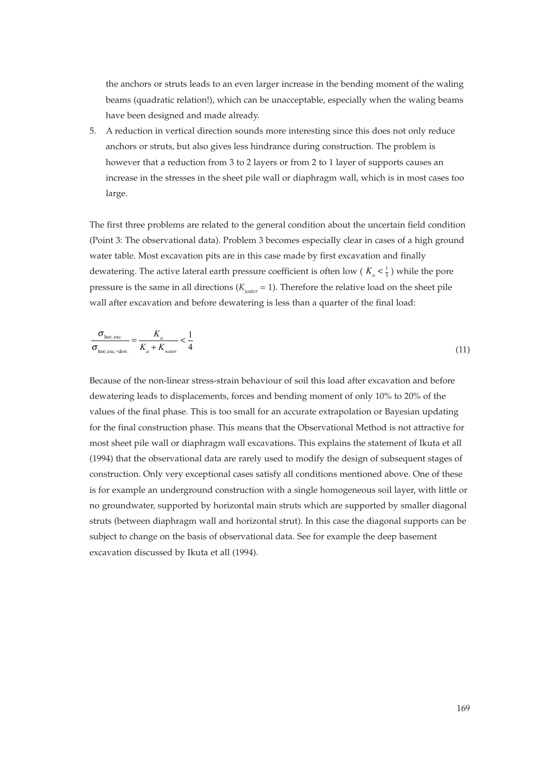the anchors or struts leads to an even larger increase in the bending moment of the waling beams (quadratic relation!), which can be unacceptable, especially when the waling beams have been designed and made already.

5. A reduction in vertical direction sounds more interesting since this does not only reduce anchors or struts, but also gives less hindrance during construction. The problem is however that a reduction from 3 to 2 layers or from 2 to 1 layer of supports causes an increase in the stresses in the sheet pile wall or diaphragm wall, which is in most cases too large.

The first three problems are related to the general condition about the uncertain field condition (Point 3: The observational data). Problem 3 becomes especially clear in cases of a high ground water table. Most excavation pits are in this case made by first excavation and finally dewatering. The active lateral earth pressure coefficient is often low ( $K_a < \frac{1}{3}$ ) while the pore pressure is the same in all directions ( $K<sub>water</sub> = 1$ ). Therefore the relative load on the sheet pile wall after excavation and before dewatering is less than a quarter of the final load:

$$
\frac{\sigma_{\text{hor, exc.}}}{\sigma_{\text{hor, exc.}+\text{dev.}}} = \frac{K_a}{K_a + K_{\text{water}}} < \frac{1}{4} \tag{11}
$$

Because of the non-linear stress-strain behaviour of soil this load after excavation and before dewatering leads to displacements, forces and bending moment of only 10% to 20% of the values of the final phase. This is too small for an accurate extrapolation or Bayesian updating for the final construction phase. This means that the Observational Method is not attractive for most sheet pile wall or diaphragm wall excavations. This explains the statement of Ikuta et all (1994) that the observational data are rarely used to modify the design of subsequent stages of construction. Only very exceptional cases satisfy all conditions mentioned above. One of these is for example an underground construction with a single homogeneous soil layer, with little or no groundwater, supported by horizontal main struts which are supported by smaller diagonal struts (between diaphragm wall and horizontal strut). In this case the diagonal supports can be subject to change on the basis of observational data. See for example the deep basement excavation discussed by Ikuta et all (1994).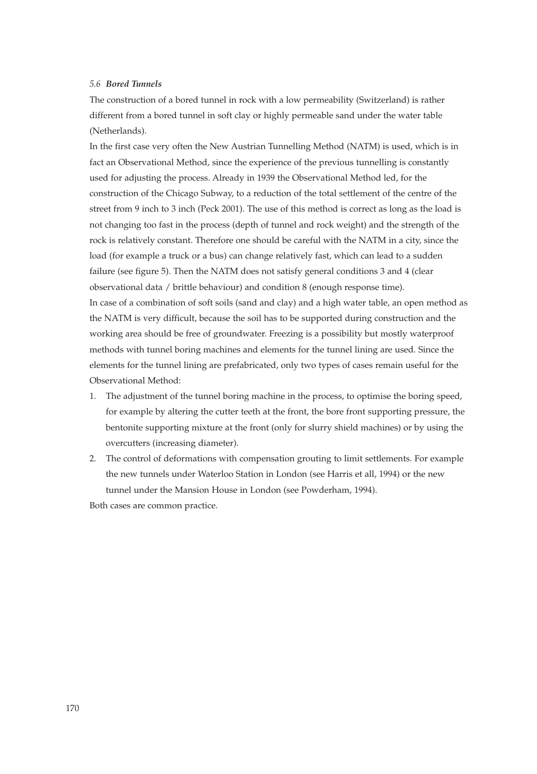# *5.6 Bored Tunnels*

The construction of a bored tunnel in rock with a low permeability (Switzerland) is rather different from a bored tunnel in soft clay or highly permeable sand under the water table (Netherlands).

In the first case very often the New Austrian Tunnelling Method (NATM) is used, which is in fact an Observational Method, since the experience of the previous tunnelling is constantly used for adjusting the process. Already in 1939 the Observational Method led, for the construction of the Chicago Subway, to a reduction of the total settlement of the centre of the street from 9 inch to 3 inch (Peck 2001). The use of this method is correct as long as the load is not changing too fast in the process (depth of tunnel and rock weight) and the strength of the rock is relatively constant. Therefore one should be careful with the NATM in a city, since the load (for example a truck or a bus) can change relatively fast, which can lead to a sudden failure (see figure 5). Then the NATM does not satisfy general conditions 3 and 4 (clear observational data / brittle behaviour) and condition 8 (enough response time). In case of a combination of soft soils (sand and clay) and a high water table, an open method as the NATM is very difficult, because the soil has to be supported during construction and the working area should be free of groundwater. Freezing is a possibility but mostly waterproof methods with tunnel boring machines and elements for the tunnel lining are used. Since the elements for the tunnel lining are prefabricated, only two types of cases remain useful for the Observational Method:

- 1. The adjustment of the tunnel boring machine in the process, to optimise the boring speed, for example by altering the cutter teeth at the front, the bore front supporting pressure, the bentonite supporting mixture at the front (only for slurry shield machines) or by using the overcutters (increasing diameter).
- 2. The control of deformations with compensation grouting to limit settlements. For example the new tunnels under Waterloo Station in London (see Harris et all, 1994) or the new tunnel under the Mansion House in London (see Powderham, 1994).

Both cases are common practice.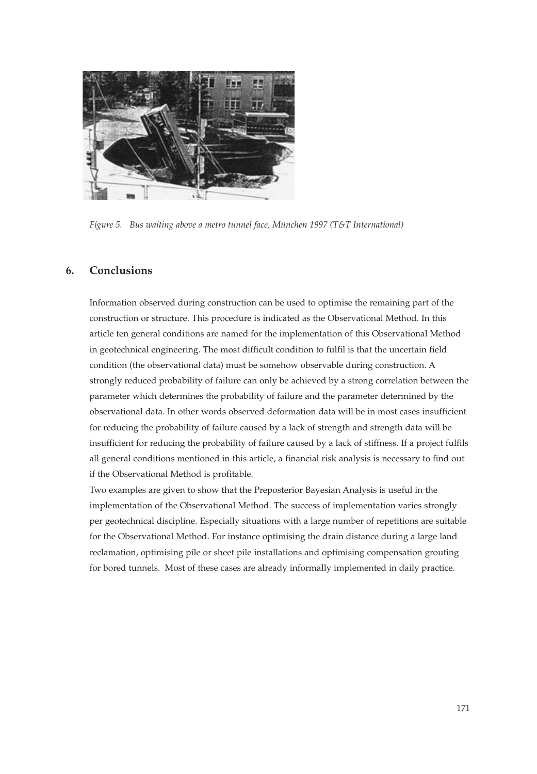

*Figure 5. Bus waiting above a metro tunnel face, München 1997 (T&T International)*

# **6. Conclusions**

Information observed during construction can be used to optimise the remaining part of the construction or structure. This procedure is indicated as the Observational Method. In this article ten general conditions are named for the implementation of this Observational Method in geotechnical engineering. The most difficult condition to fulfil is that the uncertain field condition (the observational data) must be somehow observable during construction. A strongly reduced probability of failure can only be achieved by a strong correlation between the parameter which determines the probability of failure and the parameter determined by the observational data. In other words observed deformation data will be in most cases insufficient for reducing the probability of failure caused by a lack of strength and strength data will be insufficient for reducing the probability of failure caused by a lack of stiffness. If a project fulfils all general conditions mentioned in this article, a financial risk analysis is necessary to find out if the Observational Method is profitable.

Two examples are given to show that the Preposterior Bayesian Analysis is useful in the implementation of the Observational Method. The success of implementation varies strongly per geotechnical discipline. Especially situations with a large number of repetitions are suitable for the Observational Method. For instance optimising the drain distance during a large land reclamation, optimising pile or sheet pile installations and optimising compensation grouting for bored tunnels. Most of these cases are already informally implemented in daily practice.